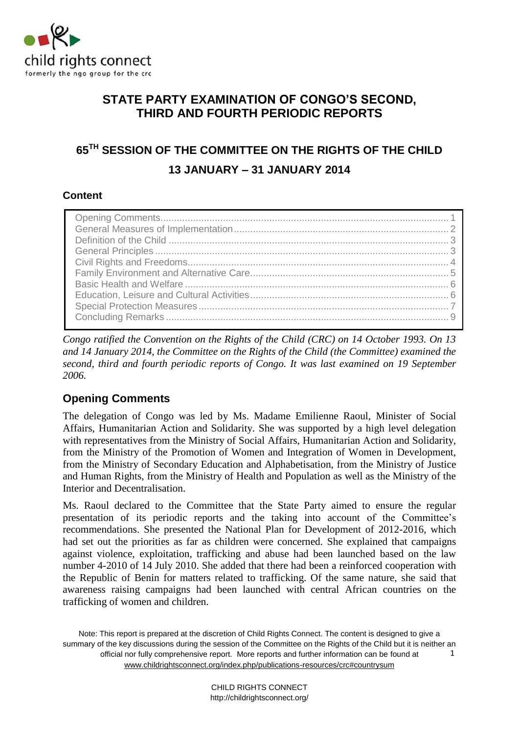

# **STATE PARTY EXAMINATION OF CONGO'S SECOND, THIRD AND FOURTH PERIODIC REPORTS**

# **65TH SESSION OF THE COMMITTEE ON THE RIGHTS OF THE CHILD 13 JANUARY – 31 JANUARY 2014**

### **Content**

*Congo ratified the Convention on the Rights of the Child (CRC) on 14 October 1993. On 13 and 14 January 2014, the Committee on the Rights of the Child (the Committee) examined the second, third and fourth periodic reports of Congo. It was last examined on 19 September 2006.* 

# <span id="page-0-0"></span>**Opening Comments**

The delegation of Congo was led by Ms. Madame Emilienne Raoul, Minister of Social Affairs, Humanitarian Action and Solidarity. She was supported by a high level delegation with representatives from the Ministry of Social Affairs, Humanitarian Action and Solidarity, from the Ministry of the Promotion of Women and Integration of Women in Development, from the Ministry of Secondary Education and Alphabetisation, from the Ministry of Justice and Human Rights, from the Ministry of Health and Population as well as the Ministry of the Interior and Decentralisation.

Ms. Raoul declared to the Committee that the State Party aimed to ensure the regular presentation of its periodic reports and the taking into account of the Committee's recommendations. She presented the National Plan for Development of 2012-2016, which had set out the priorities as far as children were concerned. She explained that campaigns against violence, exploitation, trafficking and abuse had been launched based on the law number 4-2010 of 14 July 2010. She added that there had been a reinforced cooperation with the Republic of Benin for matters related to trafficking. Of the same nature, she said that awareness raising campaigns had been launched with central African countries on the trafficking of women and children.

Note: This report is prepared at the discretion of Child Rights Connect. The content is designed to give a summary of the key discussions during the session of the Committee on the Rights of the Child but it is neither an official nor fully comprehensive report. More reports and further information can be found at [www.childrightsconnect.org/index.php/publications-resources/crc#countrysum](http://www.childrightsconnect.org/index.php/publications-resources/crc#countrysum) 1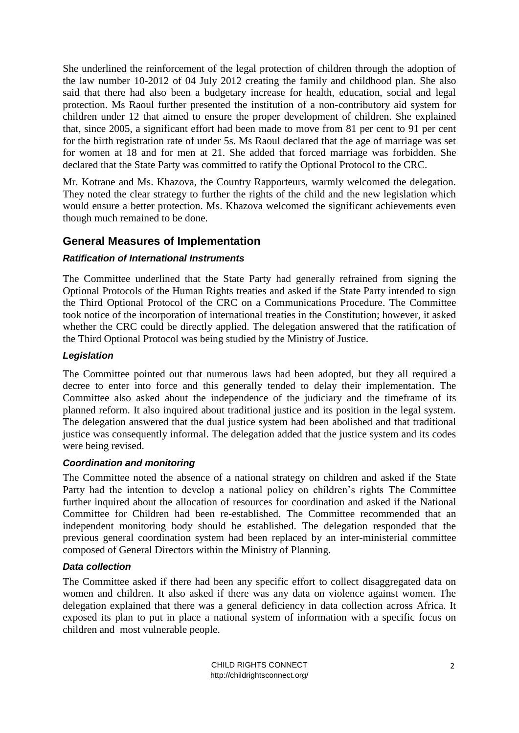She underlined the reinforcement of the legal protection of children through the adoption of the law number 10-2012 of 04 July 2012 creating the family and childhood plan. She also said that there had also been a budgetary increase for health, education, social and legal protection. Ms Raoul further presented the institution of a non-contributory aid system for children under 12 that aimed to ensure the proper development of children. She explained that, since 2005, a significant effort had been made to move from 81 per cent to 91 per cent for the birth registration rate of under 5s. Ms Raoul declared that the age of marriage was set for women at 18 and for men at 21. She added that forced marriage was forbidden. She declared that the State Party was committed to ratify the Optional Protocol to the CRC.

Mr. Kotrane and Ms. Khazova, the Country Rapporteurs, warmly welcomed the delegation. They noted the clear strategy to further the rights of the child and the new legislation which would ensure a better protection. Ms. Khazova welcomed the significant achievements even though much remained to be done.

# <span id="page-1-0"></span>**General Measures of Implementation**

### *Ratification of International Instruments*

The Committee underlined that the State Party had generally refrained from signing the Optional Protocols of the Human Rights treaties and asked if the State Party intended to sign the Third Optional Protocol of the CRC on a Communications Procedure. The Committee took notice of the incorporation of international treaties in the Constitution; however, it asked whether the CRC could be directly applied. The delegation answered that the ratification of the Third Optional Protocol was being studied by the Ministry of Justice.

#### *Legislation*

The Committee pointed out that numerous laws had been adopted, but they all required a decree to enter into force and this generally tended to delay their implementation. The Committee also asked about the independence of the judiciary and the timeframe of its planned reform. It also inquired about traditional justice and its position in the legal system. The delegation answered that the dual justice system had been abolished and that traditional justice was consequently informal. The delegation added that the justice system and its codes were being revised.

### *Coordination and monitoring*

The Committee noted the absence of a national strategy on children and asked if the State Party had the intention to develop a national policy on children's rights The Committee further inquired about the allocation of resources for coordination and asked if the National Committee for Children had been re-established. The Committee recommended that an independent monitoring body should be established. The delegation responded that the previous general coordination system had been replaced by an inter-ministerial committee composed of General Directors within the Ministry of Planning.

### *Data collection*

The Committee asked if there had been any specific effort to collect disaggregated data on women and children. It also asked if there was any data on violence against women. The delegation explained that there was a general deficiency in data collection across Africa. It exposed its plan to put in place a national system of information with a specific focus on children and most vulnerable people.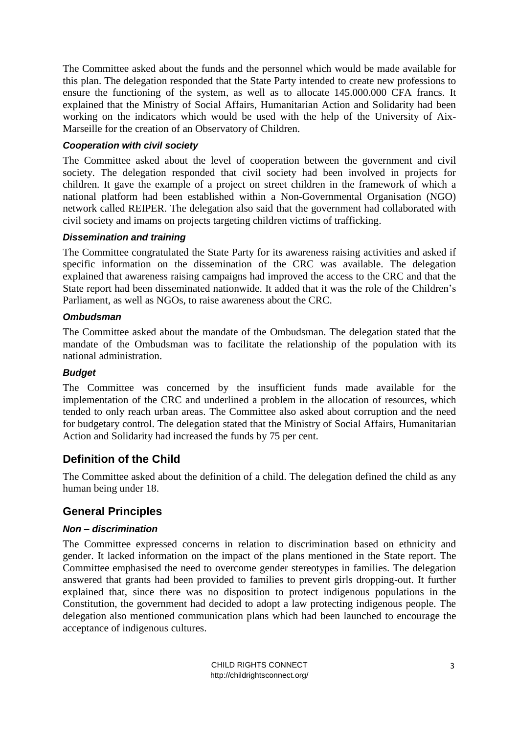The Committee asked about the funds and the personnel which would be made available for this plan. The delegation responded that the State Party intended to create new professions to ensure the functioning of the system, as well as to allocate 145.000.000 CFA francs. It explained that the Ministry of Social Affairs, Humanitarian Action and Solidarity had been working on the indicators which would be used with the help of the University of Aix-Marseille for the creation of an Observatory of Children.

### *Cooperation with civil society*

The Committee asked about the level of cooperation between the government and civil society. The delegation responded that civil society had been involved in projects for children. It gave the example of a project on street children in the framework of which a national platform had been established within a Non-Governmental Organisation (NGO) network called REIPER. The delegation also said that the government had collaborated with civil society and imams on projects targeting children victims of trafficking.

### *Dissemination and training*

The Committee congratulated the State Party for its awareness raising activities and asked if specific information on the dissemination of the CRC was available. The delegation explained that awareness raising campaigns had improved the access to the CRC and that the State report had been disseminated nationwide. It added that it was the role of the Children's Parliament, as well as NGOs, to raise awareness about the CRC.

### *Ombudsman*

The Committee asked about the mandate of the Ombudsman. The delegation stated that the mandate of the Ombudsman was to facilitate the relationship of the population with its national administration.

### *Budget*

The Committee was concerned by the insufficient funds made available for the implementation of the CRC and underlined a problem in the allocation of resources, which tended to only reach urban areas. The Committee also asked about corruption and the need for budgetary control. The delegation stated that the Ministry of Social Affairs, Humanitarian Action and Solidarity had increased the funds by 75 per cent.

### <span id="page-2-0"></span>**Definition of the Child**

The Committee asked about the definition of a child. The delegation defined the child as any human being under 18.

### <span id="page-2-1"></span>**General Principles**

### *Non – discrimination*

The Committee expressed concerns in relation to discrimination based on ethnicity and gender. It lacked information on the impact of the plans mentioned in the State report. The Committee emphasised the need to overcome gender stereotypes in families. The delegation answered that grants had been provided to families to prevent girls dropping-out. It further explained that, since there was no disposition to protect indigenous populations in the Constitution, the government had decided to adopt a law protecting indigenous people. The delegation also mentioned communication plans which had been launched to encourage the acceptance of indigenous cultures.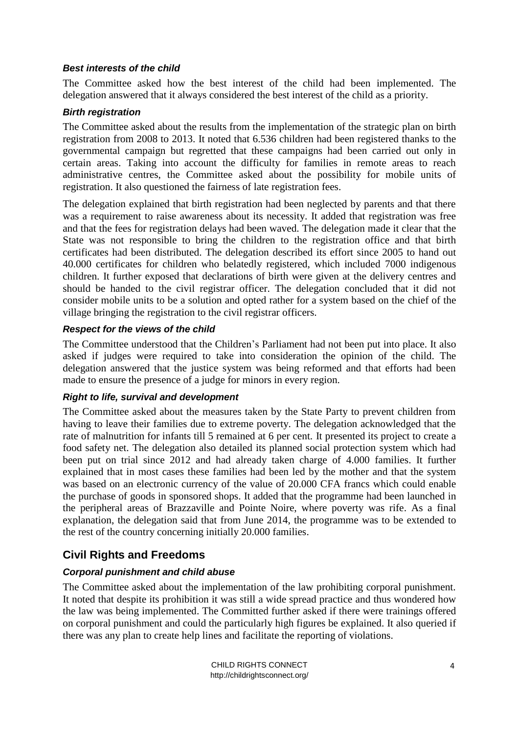#### *Best interests of the child*

The Committee asked how the best interest of the child had been implemented. The delegation answered that it always considered the best interest of the child as a priority.

### *Birth registration*

The Committee asked about the results from the implementation of the strategic plan on birth registration from 2008 to 2013. It noted that 6.536 children had been registered thanks to the governmental campaign but regretted that these campaigns had been carried out only in certain areas. Taking into account the difficulty for families in remote areas to reach administrative centres, the Committee asked about the possibility for mobile units of registration. It also questioned the fairness of late registration fees.

The delegation explained that birth registration had been neglected by parents and that there was a requirement to raise awareness about its necessity. It added that registration was free and that the fees for registration delays had been waved. The delegation made it clear that the State was not responsible to bring the children to the registration office and that birth certificates had been distributed. The delegation described its effort since 2005 to hand out 40.000 certificates for children who belatedly registered, which included 7000 indigenous children. It further exposed that declarations of birth were given at the delivery centres and should be handed to the civil registrar officer. The delegation concluded that it did not consider mobile units to be a solution and opted rather for a system based on the chief of the village bringing the registration to the civil registrar officers.

### *Respect for the views of the child*

The Committee understood that the Children's Parliament had not been put into place. It also asked if judges were required to take into consideration the opinion of the child. The delegation answered that the justice system was being reformed and that efforts had been made to ensure the presence of a judge for minors in every region.

### *Right to life, survival and development*

The Committee asked about the measures taken by the State Party to prevent children from having to leave their families due to extreme poverty. The delegation acknowledged that the rate of malnutrition for infants till 5 remained at 6 per cent. It presented its project to create a food safety net. The delegation also detailed its planned social protection system which had been put on trial since 2012 and had already taken charge of 4.000 families. It further explained that in most cases these families had been led by the mother and that the system was based on an electronic currency of the value of 20.000 CFA francs which could enable the purchase of goods in sponsored shops. It added that the programme had been launched in the peripheral areas of Brazzaville and Pointe Noire, where poverty was rife. As a final explanation, the delegation said that from June 2014, the programme was to be extended to the rest of the country concerning initially 20.000 families.

# <span id="page-3-0"></span>**Civil Rights and Freedoms**

### *Corporal punishment and child abuse*

The Committee asked about the implementation of the law prohibiting corporal punishment. It noted that despite its prohibition it was still a wide spread practice and thus wondered how the law was being implemented. The Committed further asked if there were trainings offered on corporal punishment and could the particularly high figures be explained. It also queried if there was any plan to create help lines and facilitate the reporting of violations.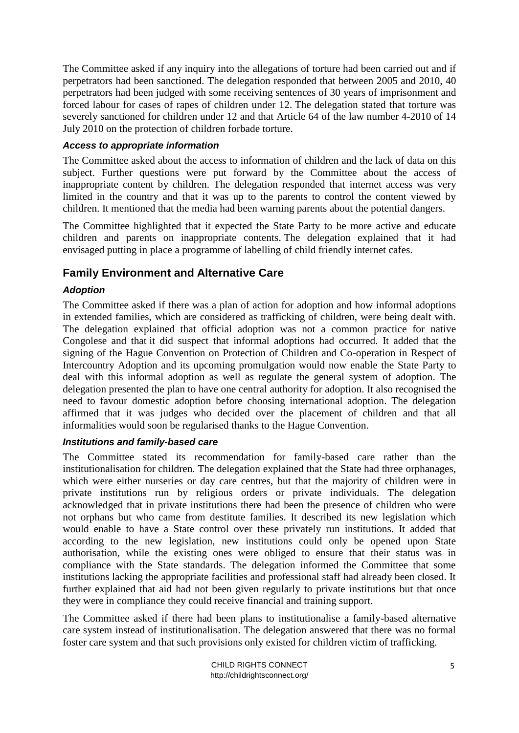The Committee asked if any inquiry into the allegations of torture had been carried out and if perpetrators had been sanctioned. The delegation responded that between 2005 and 2010, 40 perpetrators had been judged with some receiving sentences of 30 years of imprisonment and forced labour for cases of rapes of children under 12. The delegation stated that torture was severely sanctioned for children under 12 and that Article 64 of the law number 4-2010 of 14 July 2010 on the protection of children forbade torture.

### *Access to appropriate information*

The Committee asked about the access to information of children and the lack of data on this subject. Further questions were put forward by the Committee about the access of inappropriate content by children. The delegation responded that internet access was very limited in the country and that it was up to the parents to control the content viewed by children. It mentioned that the media had been warning parents about the potential dangers.

The Committee highlighted that it expected the State Party to be more active and educate children and parents on inappropriate contents. The delegation explained that it had envisaged putting in place a programme of labelling of child friendly internet cafes.

# <span id="page-4-0"></span>**Family Environment and Alternative Care**

### *Adoption*

The Committee asked if there was a plan of action for adoption and how informal adoptions in extended families, which are considered as trafficking of children, were being dealt with. The delegation explained that official adoption was not a common practice for native Congolese and that it did suspect that informal adoptions had occurred. It added that the signing of the Hague Convention on Protection of Children and Co-operation in Respect of Intercountry Adoption and its upcoming promulgation would now enable the State Party to deal with this informal adoption as well as regulate the general system of adoption. The delegation presented the plan to have one central authority for adoption. It also recognised the need to favour domestic adoption before choosing international adoption. The delegation affirmed that it was judges who decided over the placement of children and that all informalities would soon be regularised thanks to the Hague Convention.

### *Institutions and family-based care*

The Committee stated its recommendation for family-based care rather than the institutionalisation for children. The delegation explained that the State had three orphanages, which were either nurseries or day care centres, but that the majority of children were in private institutions run by religious orders or private individuals. The delegation acknowledged that in private institutions there had been the presence of children who were not orphans but who came from destitute families. It described its new legislation which would enable to have a State control over these privately run institutions. It added that according to the new legislation, new institutions could only be opened upon State authorisation, while the existing ones were obliged to ensure that their status was in compliance with the State standards. The delegation informed the Committee that some institutions lacking the appropriate facilities and professional staff had already been closed. It further explained that aid had not been given regularly to private institutions but that once they were in compliance they could receive financial and training support.

The Committee asked if there had been plans to institutionalise a family-based alternative care system instead of institutionalisation. The delegation answered that there was no formal foster care system and that such provisions only existed for children victim of trafficking.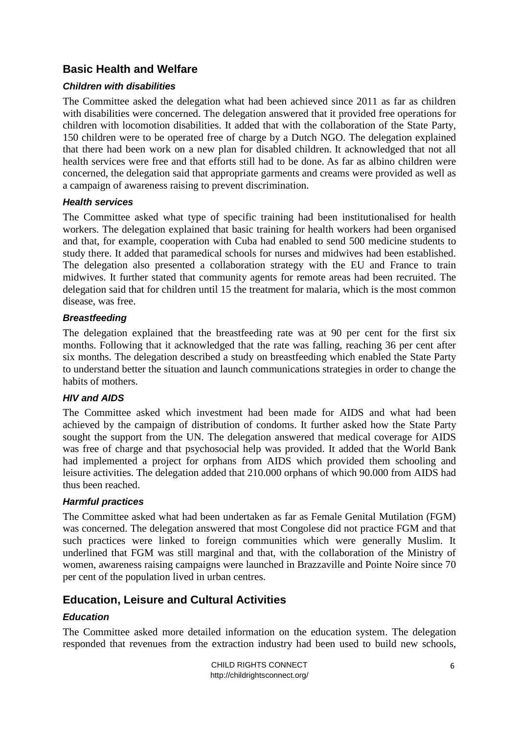# <span id="page-5-0"></span>**Basic Health and Welfare**

### *Children with disabilities*

The Committee asked the delegation what had been achieved since 2011 as far as children with disabilities were concerned. The delegation answered that it provided free operations for children with locomotion disabilities. It added that with the collaboration of the State Party, 150 children were to be operated free of charge by a Dutch NGO. The delegation explained that there had been work on a new plan for disabled children. It acknowledged that not all health services were free and that efforts still had to be done. As far as albino children were concerned, the delegation said that appropriate garments and creams were provided as well as a campaign of awareness raising to prevent discrimination.

#### *Health services*

The Committee asked what type of specific training had been institutionalised for health workers. The delegation explained that basic training for health workers had been organised and that, for example, cooperation with Cuba had enabled to send 500 medicine students to study there. It added that paramedical schools for nurses and midwives had been established. The delegation also presented a collaboration strategy with the EU and France to train midwives. It further stated that community agents for remote areas had been recruited. The delegation said that for children until 15 the treatment for malaria, which is the most common disease, was free.

### *Breastfeeding*

The delegation explained that the breastfeeding rate was at 90 per cent for the first six months. Following that it acknowledged that the rate was falling, reaching 36 per cent after six months. The delegation described a study on breastfeeding which enabled the State Party to understand better the situation and launch communications strategies in order to change the habits of mothers.

### *HIV and AIDS*

The Committee asked which investment had been made for AIDS and what had been achieved by the campaign of distribution of condoms. It further asked how the State Party sought the support from the UN. The delegation answered that medical coverage for AIDS was free of charge and that psychosocial help was provided. It added that the World Bank had implemented a project for orphans from AIDS which provided them schooling and leisure activities. The delegation added that 210.000 orphans of which 90.000 from AIDS had thus been reached.

### *Harmful practices*

The Committee asked what had been undertaken as far as Female Genital Mutilation (FGM) was concerned. The delegation answered that most Congolese did not practice FGM and that such practices were linked to foreign communities which were generally Muslim. It underlined that FGM was still marginal and that, with the collaboration of the Ministry of women, awareness raising campaigns were launched in Brazzaville and Pointe Noire since 70 per cent of the population lived in urban centres.

# <span id="page-5-1"></span>**Education, Leisure and Cultural Activities**

### *Education*

The Committee asked more detailed information on the education system. The delegation responded that revenues from the extraction industry had been used to build new schools,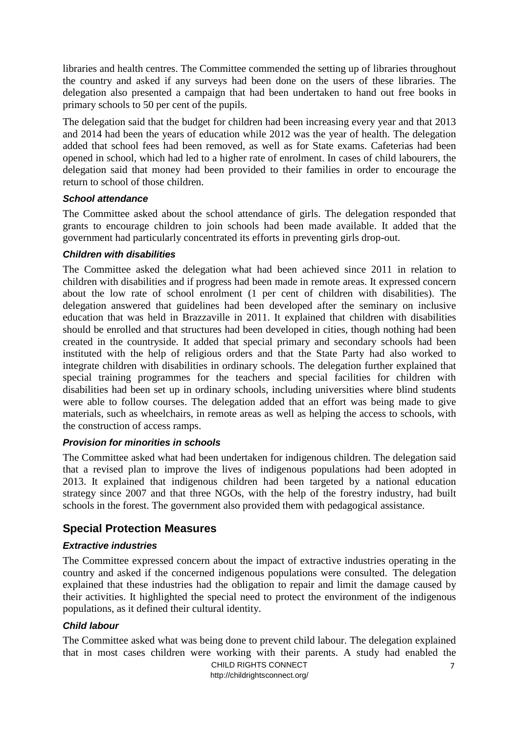libraries and health centres. The Committee commended the setting up of libraries throughout the country and asked if any surveys had been done on the users of these libraries. The delegation also presented a campaign that had been undertaken to hand out free books in primary schools to 50 per cent of the pupils.

The delegation said that the budget for children had been increasing every year and that 2013 and 2014 had been the years of education while 2012 was the year of health. The delegation added that school fees had been removed, as well as for State exams. Cafeterias had been opened in school, which had led to a higher rate of enrolment. In cases of child labourers, the delegation said that money had been provided to their families in order to encourage the return to school of those children.

### *School attendance*

The Committee asked about the school attendance of girls. The delegation responded that grants to encourage children to join schools had been made available. It added that the government had particularly concentrated its efforts in preventing girls drop-out.

#### *Children with disabilities*

The Committee asked the delegation what had been achieved since 2011 in relation to children with disabilities and if progress had been made in remote areas. It expressed concern about the low rate of school enrolment (1 per cent of children with disabilities). The delegation answered that guidelines had been developed after the seminary on inclusive education that was held in Brazzaville in 2011. It explained that children with disabilities should be enrolled and that structures had been developed in cities, though nothing had been created in the countryside. It added that special primary and secondary schools had been instituted with the help of religious orders and that the State Party had also worked to integrate children with disabilities in ordinary schools. The delegation further explained that special training programmes for the teachers and special facilities for children with disabilities had been set up in ordinary schools, including universities where blind students were able to follow courses. The delegation added that an effort was being made to give materials, such as wheelchairs, in remote areas as well as helping the access to schools, with the construction of access ramps.

#### *Provision for minorities in schools*

The Committee asked what had been undertaken for indigenous children. The delegation said that a revised plan to improve the lives of indigenous populations had been adopted in 2013. It explained that indigenous children had been targeted by a national education strategy since 2007 and that three NGOs, with the help of the forestry industry, had built schools in the forest. The government also provided them with pedagogical assistance.

### <span id="page-6-0"></span>**Special Protection Measures**

### *Extractive industries*

The Committee expressed concern about the impact of extractive industries operating in the country and asked if the concerned indigenous populations were consulted. The delegation explained that these industries had the obligation to repair and limit the damage caused by their activities. It highlighted the special need to protect the environment of the indigenous populations, as it defined their cultural identity.

#### *Child labour*

The Committee asked what was being done to prevent child labour. The delegation explained that in most cases children were working with their parents. A study had enabled the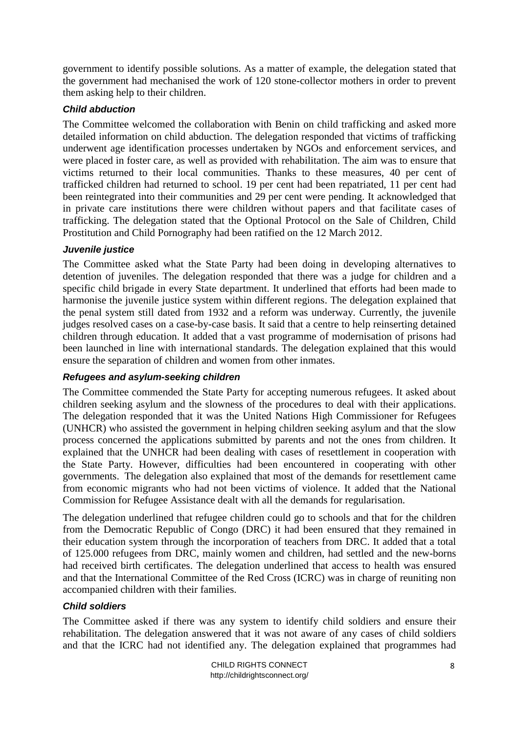government to identify possible solutions. As a matter of example, the delegation stated that the government had mechanised the work of 120 stone-collector mothers in order to prevent them asking help to their children.

### *Child abduction*

The Committee welcomed the collaboration with Benin on child trafficking and asked more detailed information on child abduction. The delegation responded that victims of trafficking underwent age identification processes undertaken by NGOs and enforcement services, and were placed in foster care, as well as provided with rehabilitation. The aim was to ensure that victims returned to their local communities. Thanks to these measures, 40 per cent of trafficked children had returned to school. 19 per cent had been repatriated, 11 per cent had been reintegrated into their communities and 29 per cent were pending. It acknowledged that in private care institutions there were children without papers and that facilitate cases of trafficking. The delegation stated that the Optional Protocol on the Sale of Children, Child Prostitution and Child Pornography had been ratified on the 12 March 2012.

### *Juvenile justice*

The Committee asked what the State Party had been doing in developing alternatives to detention of juveniles. The delegation responded that there was a judge for children and a specific child brigade in every State department. It underlined that efforts had been made to harmonise the juvenile justice system within different regions. The delegation explained that the penal system still dated from 1932 and a reform was underway. Currently, the juvenile judges resolved cases on a case-by-case basis. It said that a centre to help reinserting detained children through education. It added that a vast programme of modernisation of prisons had been launched in line with international standards. The delegation explained that this would ensure the separation of children and women from other inmates.

### *Refugees and asylum-seeking children*

The Committee commended the State Party for accepting numerous refugees. It asked about children seeking asylum and the slowness of the procedures to deal with their applications. The delegation responded that it was the United Nations High Commissioner for Refugees (UNHCR) who assisted the government in helping children seeking asylum and that the slow process concerned the applications submitted by parents and not the ones from children. It explained that the UNHCR had been dealing with cases of resettlement in cooperation with the State Party. However, difficulties had been encountered in cooperating with other governments. The delegation also explained that most of the demands for resettlement came from economic migrants who had not been victims of violence. It added that the National Commission for Refugee Assistance dealt with all the demands for regularisation.

The delegation underlined that refugee children could go to schools and that for the children from the Democratic Republic of Congo (DRC) it had been ensured that they remained in their education system through the incorporation of teachers from DRC. It added that a total of 125.000 refugees from DRC, mainly women and children, had settled and the new-borns had received birth certificates. The delegation underlined that access to health was ensured and that the International Committee of the Red Cross (ICRC) was in charge of reuniting non accompanied children with their families.

### *Child soldiers*

The Committee asked if there was any system to identify child soldiers and ensure their rehabilitation. The delegation answered that it was not aware of any cases of child soldiers and that the ICRC had not identified any. The delegation explained that programmes had